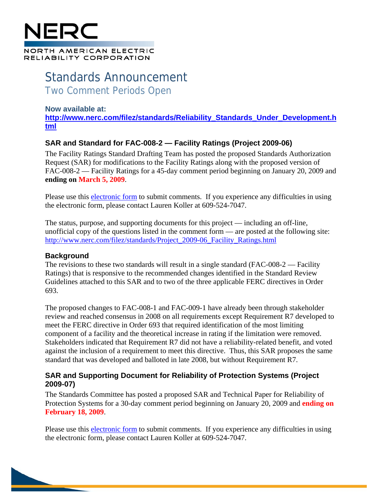# NORTH AMERICAN ELECTRIC RELIABILITY CORPORATION

## Standards Announcement Two Comment Periods Open

#### **Now available at:**

**[http://www.nerc.com/filez/standards/Reliability\\_Standards\\_Under\\_Development.h](http://www.nerc.com/filez/standards/Reliability_Standards_Under_Development.html) [tml](http://www.nerc.com/filez/standards/Reliability_Standards_Under_Development.html)**

### **SAR and Standard for FAC-008-2 — Facility Ratings (Project 2009-06)**

The Facility Ratings Standard Drafting Team has posted the proposed Standards Authorization Request (SAR) for modifications to the Facility Ratings along with the proposed version of FAC-008-2 — Facility Ratings for a 45-day comment period beginning on January 20, 2009 and **ending on March 5, 2009**.

Please use this [electronic form](https://www.nerc.net/nercsurvey/Survey.aspx?s=49b3c3fda56f491f85c6e4f540af7d99) to submit comments. If you experience any difficulties in using the electronic form, please contact Lauren Koller at 609-524-7047.

The status, purpose, and supporting documents for this project — including an off-line, unofficial copy of the questions listed in the comment form — are posted at the following site: [http://www.nerc.com/filez/standards/Project\\_2009-06\\_Facility\\_Ratings.html](http://www.nerc.com/filez/standards/Project_2009-06_Facility_Ratings.html)

#### **Background**

The revisions to these two standards will result in a single standard (FAC-008-2 — Facility Ratings) that is responsive to the recommended changes identified in the Standard Review Guidelines attached to this SAR and to two of the three applicable FERC directives in Order 693.

The proposed changes to FAC-008-1 and FAC-009-1 have already been through stakeholder review and reached consensus in 2008 on all requirements except Requirement R7 developed to meet the FERC directive in Order 693 that required identification of the most limiting component of a facility and the theoretical increase in rating if the limitation were removed. Stakeholders indicated that Requirement R7 did not have a reliability-related benefit, and voted against the inclusion of a requirement to meet this directive. Thus, this SAR proposes the same standard that was developed and balloted in late 2008, but without Requirement R7.

#### **SAR and Supporting Document for Reliability of Protection Systems (Project 2009-07)**

The Standards Committee has posted a proposed SAR and Technical Paper for Reliability of Protection Systems for a 30-day comment period beginning on January 20, 2009 and **ending on February 18, 2009**.

Please use this [electronic form](https://www.nerc.net/nercsurvey/Survey.aspx?s=6a1740e516b546d1b950c36425aada42) to submit comments. If you experience any difficulties in using the electronic form, please contact Lauren Koller at 609-524-7047.